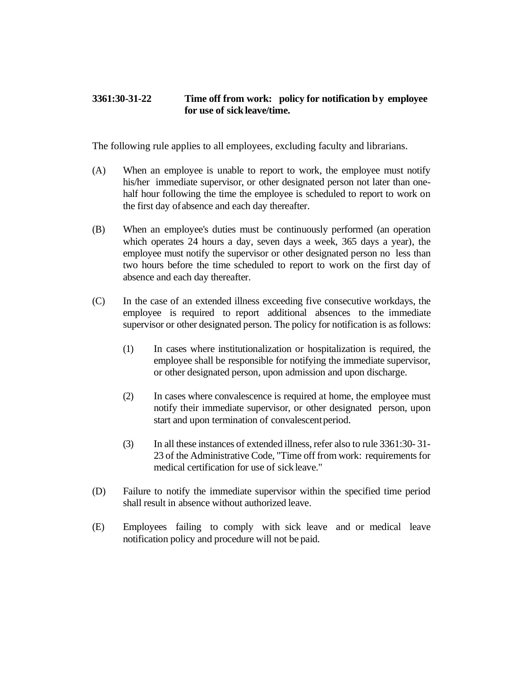## **3361:30-31-22 Time off from work: policy for notification by employee for use of sickleave/time.**

The following rule applies to all employees, excluding faculty and librarians.

- (A) When an employee is unable to report to work, the employee must notify his/her immediate supervisor, or other designated person not later than onehalf hour following the time the employee is scheduled to report to work on the first day of absence and each day thereafter.
- (B) When an employee's duties must be continuously performed (an operation which operates 24 hours a day, seven days a week, 365 days a year), the employee must notify the supervisor or other designated person no less than two hours before the time scheduled to report to work on the first day of absence and each day thereafter.
- (C) In the case of an extended illness exceeding five consecutive workdays, the employee is required to report additional absences to the immediate supervisor or other designated person. The policy for notification is as follows:
	- (1) In cases where institutionalization or hospitalization is required, the employee shall be responsible for notifying the immediate supervisor, or other designated person, upon admission and upon discharge.
	- (2) In cases where convalescence is required at home, the employee must notify their immediate supervisor, or other designated person, upon start and upon termination of convalescentperiod.
	- (3) In all these instances of extended illness, refer also to rule 3361:30- 31- 23 of the Administrative Code, "Time off from work: requirements for medical certification for use of sick leave."
- (D) Failure to notify the immediate supervisor within the specified time period shall result in absence without authorized leave.
- (E) Employees failing to comply with sick leave and or medical leave notification policy and procedure will not be paid.